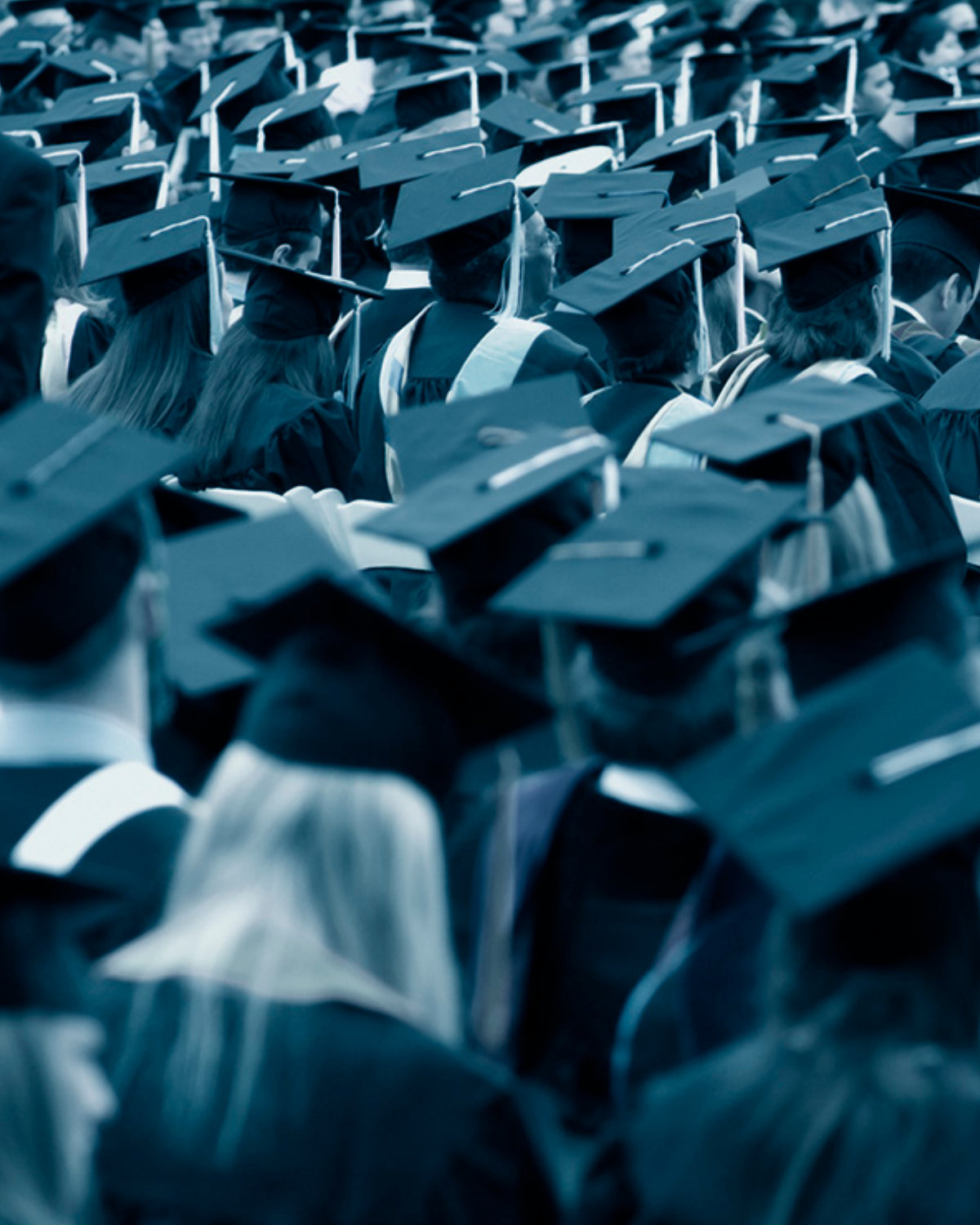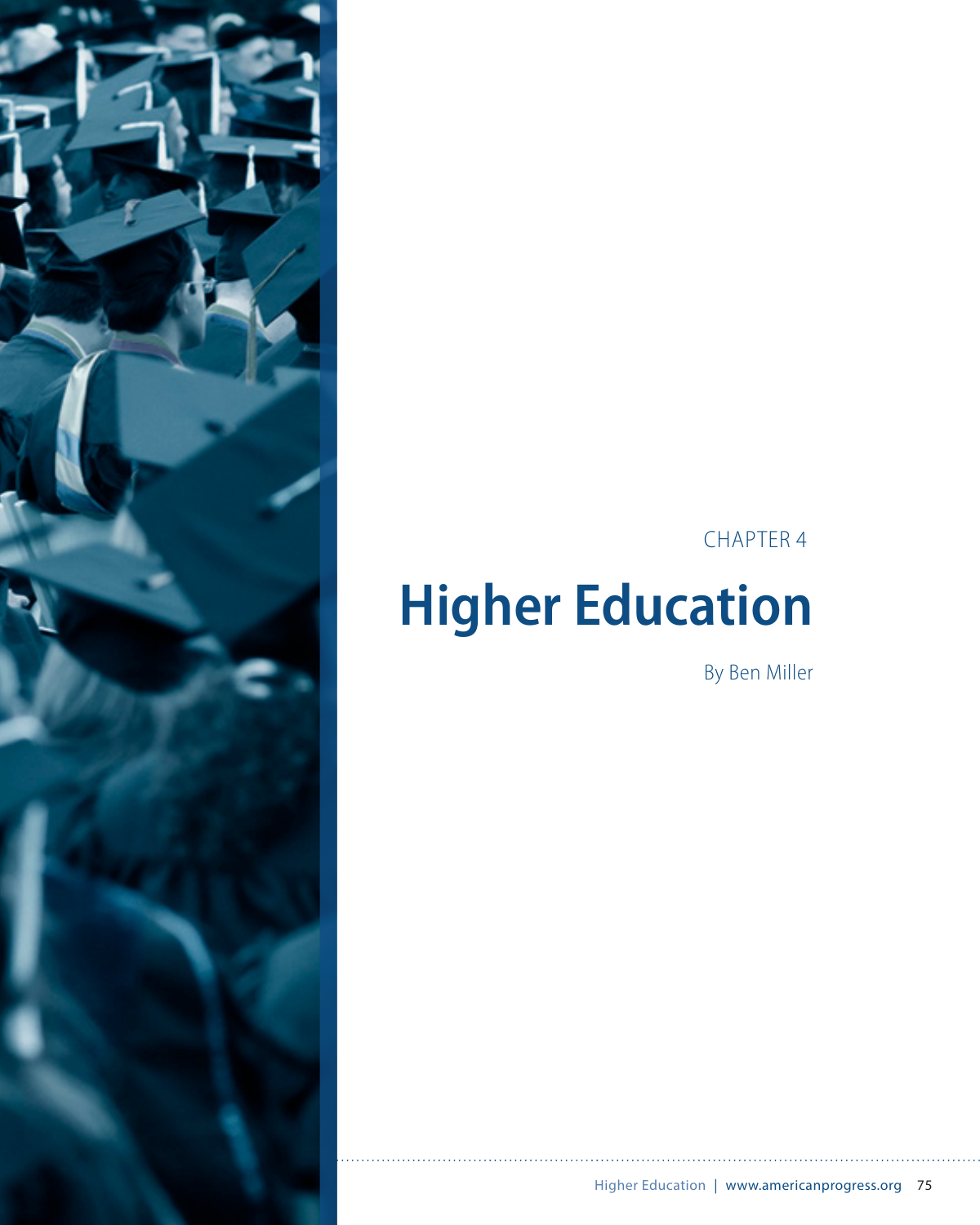## CHAPTER 4

# **Higher Education**

By Ben Miller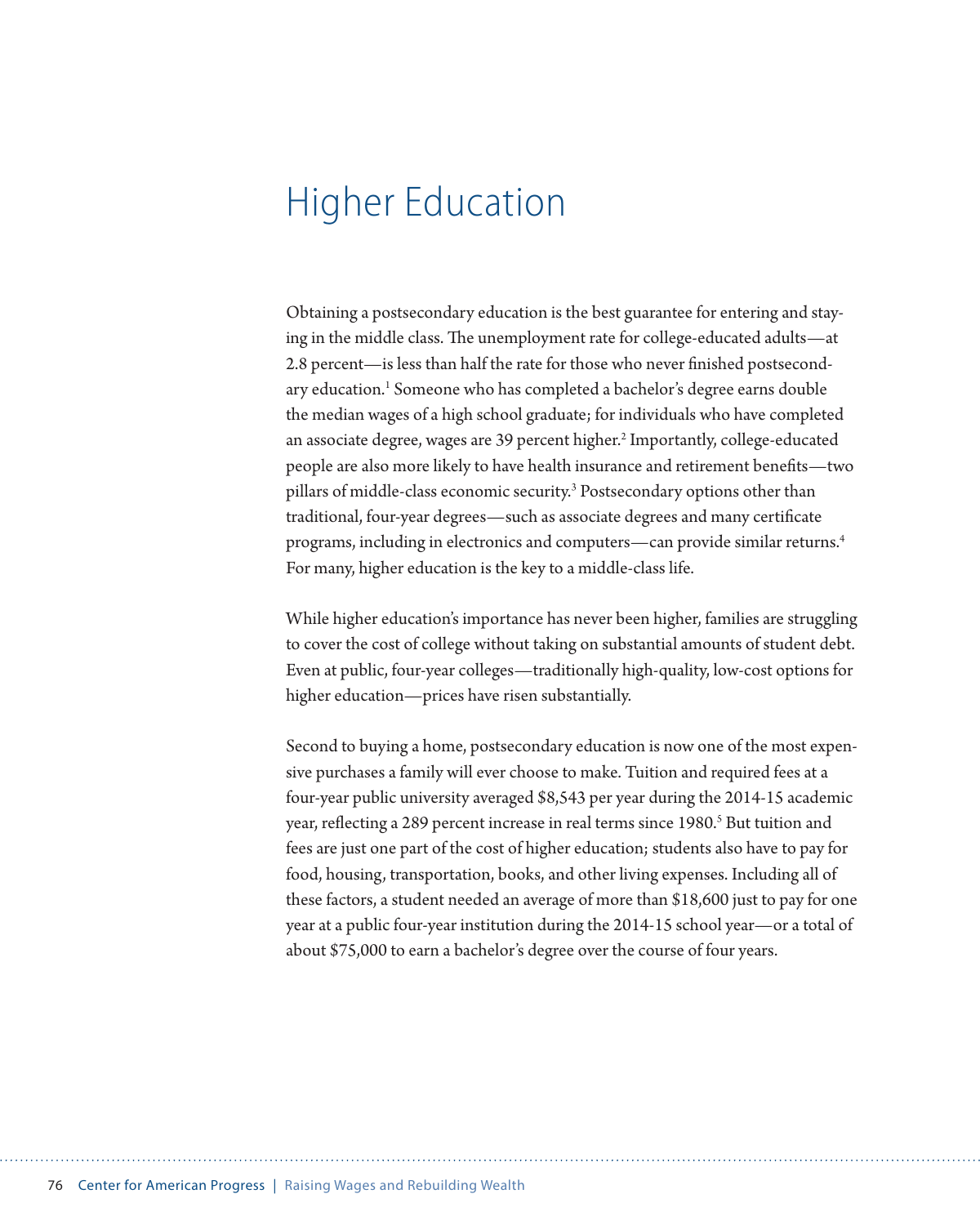# Higher Education

Obtaining a postsecondary education is the best guarantee for entering and staying in the middle class. The unemployment rate for college-educated adults—at 2.8 percent—is less than half the rate for those who never finished postsecondary education.<sup>1</sup> Someone who has completed a bachelor's degree earns double the median wages of a high school graduate; for individuals who have completed an associate degree, wages are 39 percent higher.<sup>2</sup> Importantly, college-educated people are also more likely to have health insurance and retirement benefits—two pillars of middle-class economic security.<sup>3</sup> Postsecondary options other than traditional, four-year degrees—such as associate degrees and many certificate programs, including in electronics and computers—can provide similar returns.4 For many, higher education is the key to a middle-class life.

While higher education's importance has never been higher, families are struggling to cover the cost of college without taking on substantial amounts of student debt. Even at public, four-year colleges—traditionally high-quality, low-cost options for higher education—prices have risen substantially.

Second to buying a home, postsecondary education is now one of the most expensive purchases a family will ever choose to make. Tuition and required fees at a four-year public university averaged \$8,543 per year during the 2014-15 academic year, reflecting a 289 percent increase in real terms since 1980.<sup>5</sup> But tuition and fees are just one part of the cost of higher education; students also have to pay for food, housing, transportation, books, and other living expenses. Including all of these factors, a student needed an average of more than \$18,600 just to pay for one year at a public four-year institution during the 2014-15 school year—or a total of about \$75,000 to earn a bachelor's degree over the course of four years.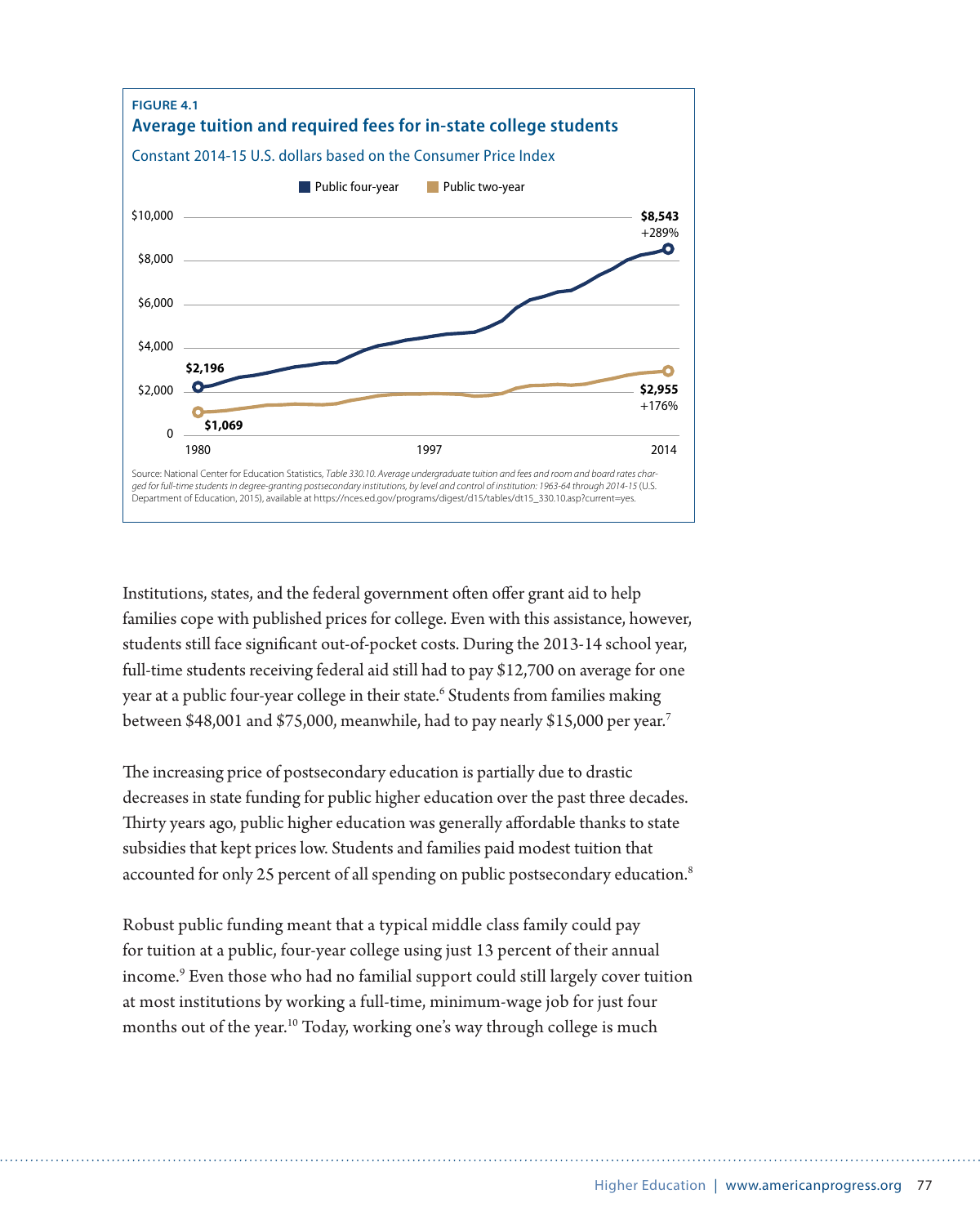

Institutions, states, and the federal government often offer grant aid to help families cope with published prices for college. Even with this assistance, however, students still face significant out-of-pocket costs. During the 2013-14 school year, full-time students receiving federal aid still had to pay \$12,700 on average for one year at a public four-year college in their state.<sup>6</sup> Students from families making between \$48,001 and \$75,000, meanwhile, had to pay nearly \$15,000 per year.7

The increasing price of postsecondary education is partially due to drastic decreases in state funding for public higher education over the past three decades. Thirty years ago, public higher education was generally affordable thanks to state subsidies that kept prices low. Students and families paid modest tuition that accounted for only 25 percent of all spending on public postsecondary education.<sup>8</sup>

Robust public funding meant that a typical middle class family could pay for tuition at a public, four-year college using just 13 percent of their annual income.9 Even those who had no familial support could still largely cover tuition at most institutions by working a full-time, minimum-wage job for just four months out of the year.<sup>10</sup> Today, working one's way through college is much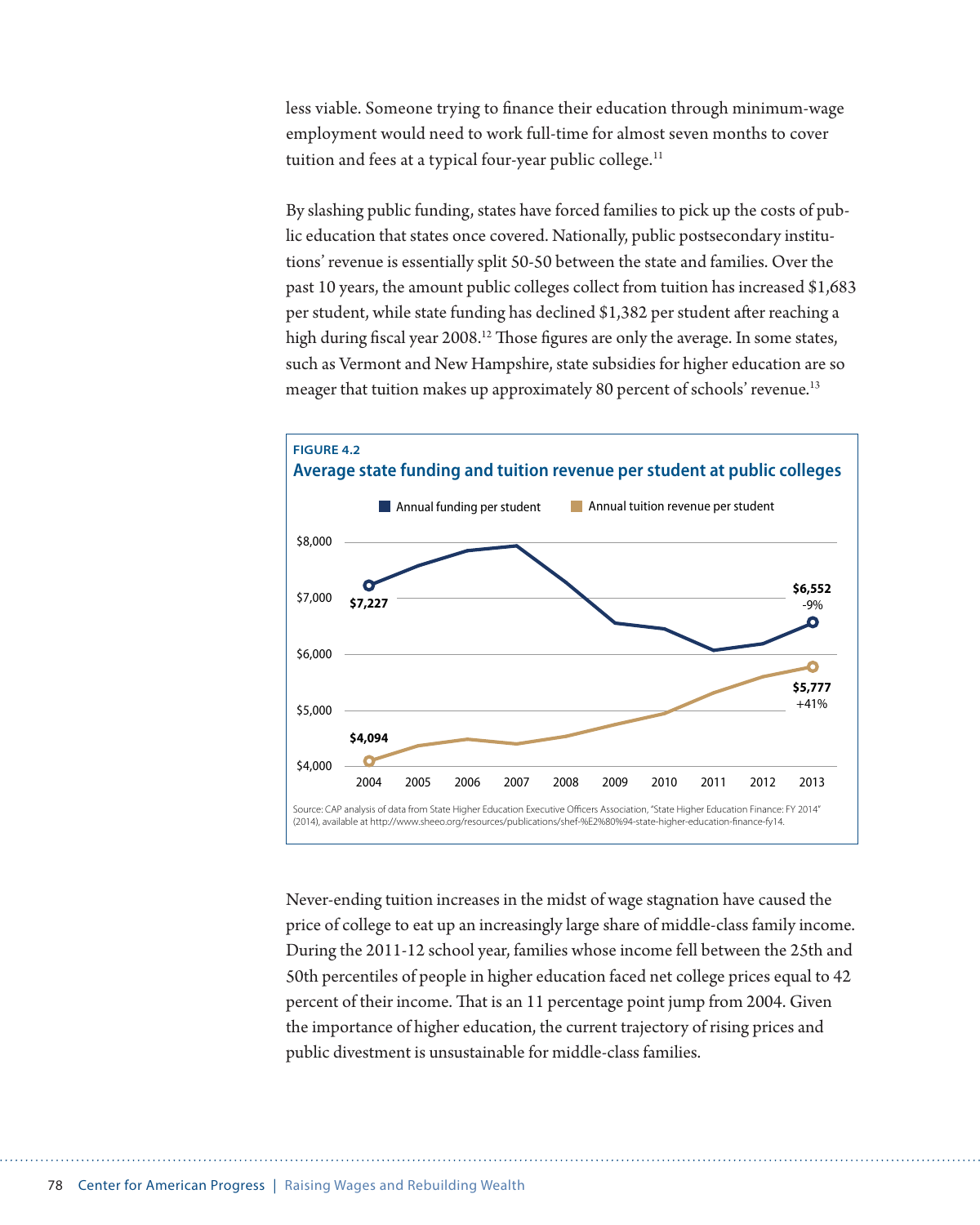less viable. Someone trying to finance their education through minimum-wage employment would need to work full-time for almost seven months to cover tuition and fees at a typical four-year public college. $<sup>11</sup>$ </sup>

By slashing public funding, states have forced families to pick up the costs of public education that states once covered. Nationally, public postsecondary institutions' revenue is essentially split 50-50 between the state and families. Over the past 10 years, the amount public colleges collect from tuition has increased \$1,683 per student, while state funding has declined \$1,382 per student after reaching a high during fiscal year 2008.<sup>12</sup> Those figures are only the average. In some states, such as Vermont and New Hampshire, state subsidies for higher education are so meager that tuition makes up approximately 80 percent of schools' revenue.<sup>13</sup>



Never-ending tuition increases in the midst of wage stagnation have caused the price of college to eat up an increasingly large share of middle-class family income. During the 2011-12 school year, families whose income fell between the 25th and 50th percentiles of people in higher education faced net college prices equal to 42 percent of their income. That is an 11 percentage point jump from 2004. Given the importance of higher education, the current trajectory of rising prices and public divestment is unsustainable for middle-class families.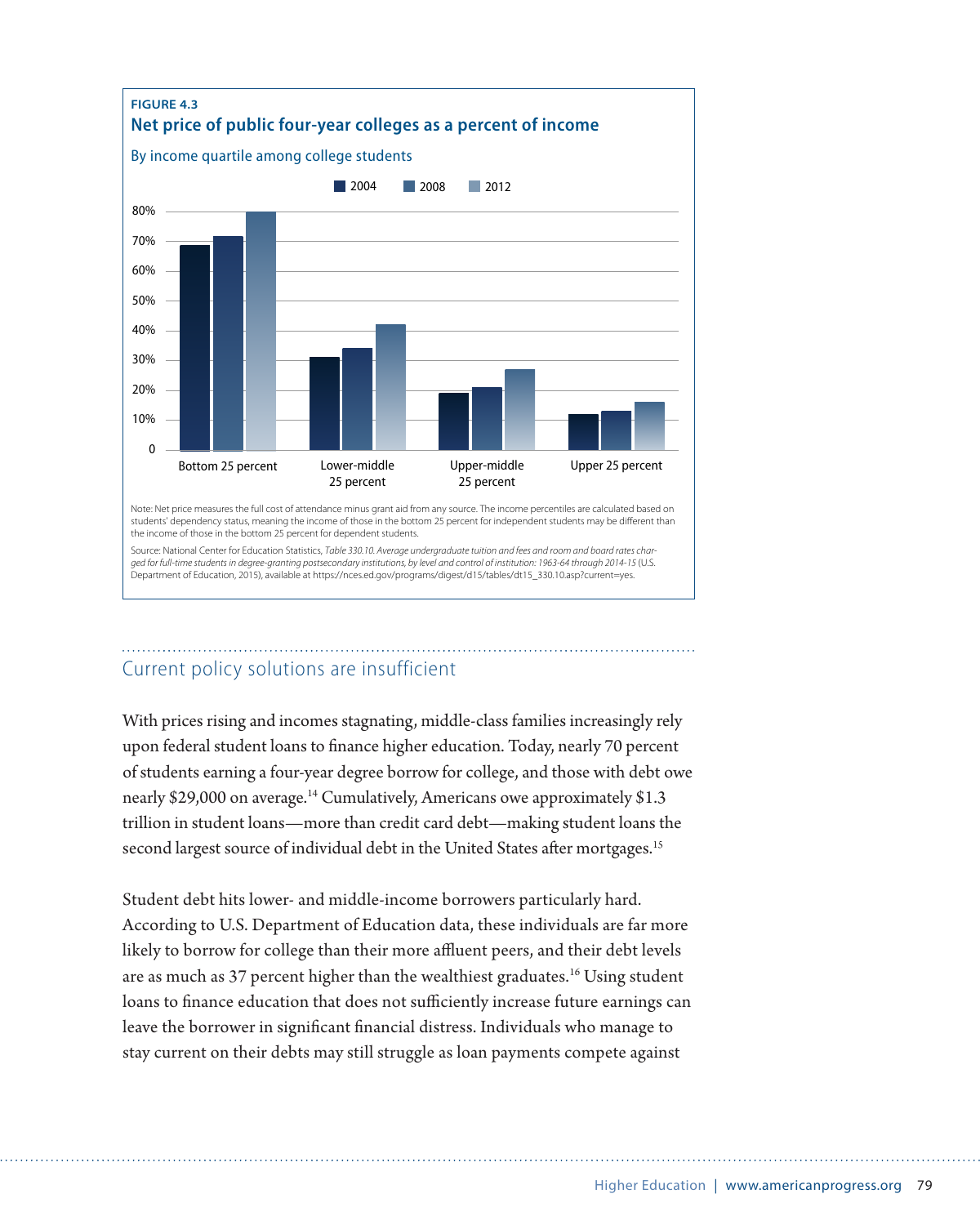

### Current policy solutions are insufficient

With prices rising and incomes stagnating, middle-class families increasingly rely upon federal student loans to finance higher education. Today, nearly 70 percent of students earning a four-year degree borrow for college, and those with debt owe nearly \$29,000 on average.<sup>14</sup> Cumulatively, Americans owe approximately \$1.3 trillion in student loans—more than credit card debt—making student loans the second largest source of individual debt in the United States after mortgages.<sup>15</sup>

Student debt hits lower- and middle-income borrowers particularly hard. According to U.S. Department of Education data, these individuals are far more likely to borrow for college than their more affluent peers, and their debt levels are as much as 37 percent higher than the wealthiest graduates.<sup>16</sup> Using student loans to finance education that does not sufficiently increase future earnings can leave the borrower in significant financial distress. Individuals who manage to stay current on their debts may still struggle as loan payments compete against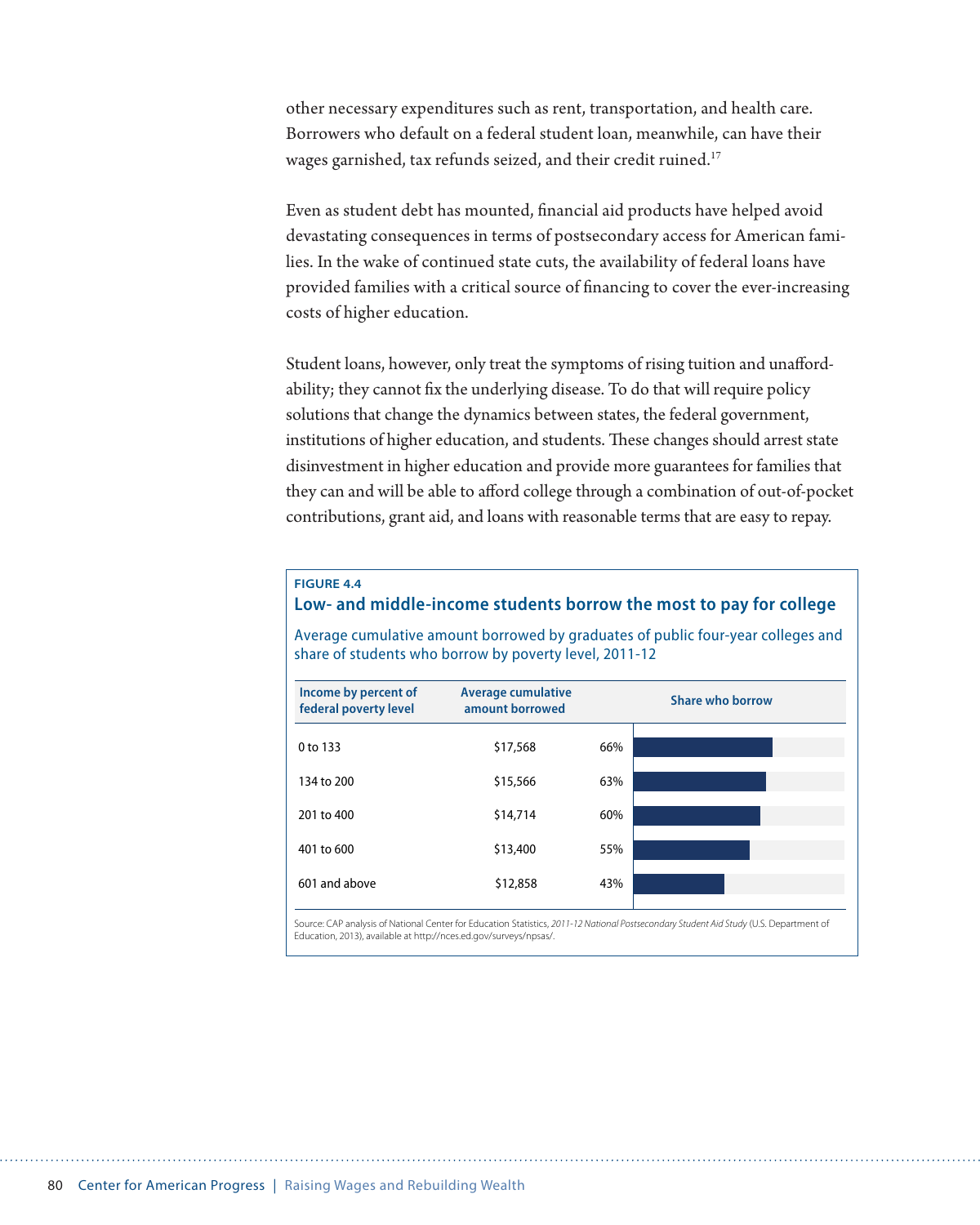other necessary expenditures such as rent, transportation, and health care. Borrowers who default on a federal student loan, meanwhile, can have their wages garnished, tax refunds seized, and their credit ruined.<sup>17</sup>

Even as student debt has mounted, financial aid products have helped avoid devastating consequences in terms of postsecondary access for American families. In the wake of continued state cuts, the availability of federal loans have provided families with a critical source of financing to cover the ever-increasing costs of higher education.

Student loans, however, only treat the symptoms of rising tuition and unaffordability; they cannot fix the underlying disease. To do that will require policy solutions that change the dynamics between states, the federal government, institutions of higher education, and students. These changes should arrest state disinvestment in higher education and provide more guarantees for families that they can and will be able to afford college through a combination of out-of-pocket contributions, grant aid, and loans with reasonable terms that are easy to repay.

#### **FIGURE 4.4**

#### **Low- and middle-income students borrow the most to pay for college**

Average cumulative amount borrowed by graduates of public four-year colleges and share of students who borrow by poverty level, 2011-12

| Income by percent of<br>federal poverty level | <b>Average cumulative</b><br>amount borrowed |     | Share who borrow |
|-----------------------------------------------|----------------------------------------------|-----|------------------|
| 0 to 133                                      | \$17,568                                     | 66% |                  |
| 134 to 200                                    | \$15,566                                     | 63% |                  |
| 201 to 400                                    | \$14,714                                     | 60% |                  |
| 401 to 600                                    | \$13,400                                     | 55% |                  |
| 601 and above                                 | \$12,858                                     | 43% |                  |
|                                               |                                              |     |                  |

Source: CAP analysis of National Center for Education Statistics, *2011-12 National Postsecondary Student Aid Study* (U.S. Department of Education, 2013), available at http://nces.ed.gov/surveys/npsas/.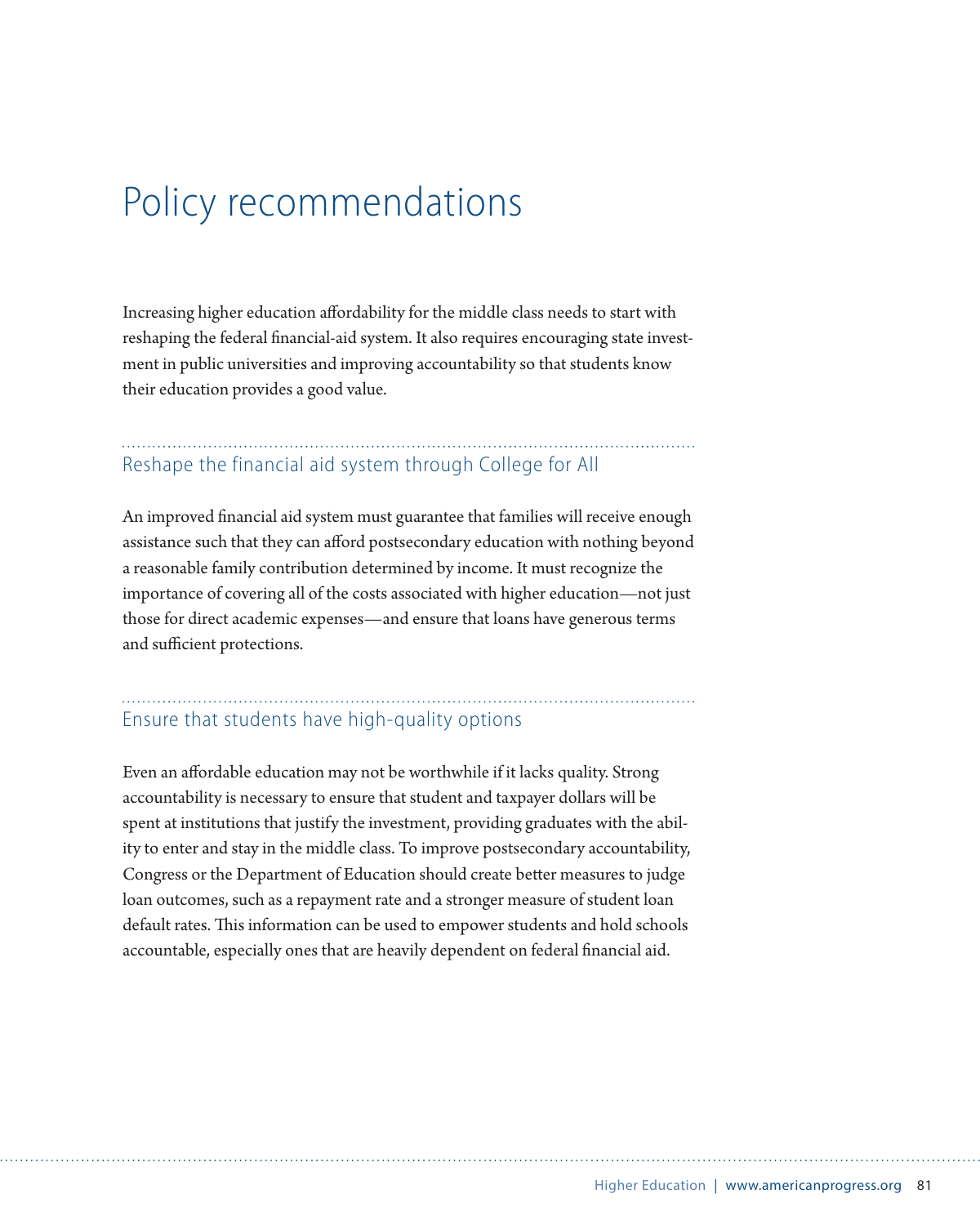# Policy recommendations

Increasing higher education affordability for the middle class needs to start with reshaping the federal financial-aid system. It also requires encouraging state investment in public universities and improving accountability so that students know their education provides a good value.

## Reshape the financial aid system through College for All

An improved financial aid system must guarantee that families will receive enough assistance such that they can afford postsecondary education with nothing beyond a reasonable family contribution determined by income. It must recognize the importance of covering all of the costs associated with higher education—not just those for direct academic expenses—and ensure that loans have generous terms and sufficient protections.

### Ensure that students have high-quality options

Even an affordable education may not be worthwhile if it lacks quality. Strong accountability is necessary to ensure that student and taxpayer dollars will be spent at institutions that justify the investment, providing graduates with the ability to enter and stay in the middle class. To improve postsecondary accountability, Congress or the Department of Education should create better measures to judge loan outcomes, such as a repayment rate and a stronger measure of student loan default rates. This information can be used to empower students and hold schools accountable, especially ones that are heavily dependent on federal financial aid.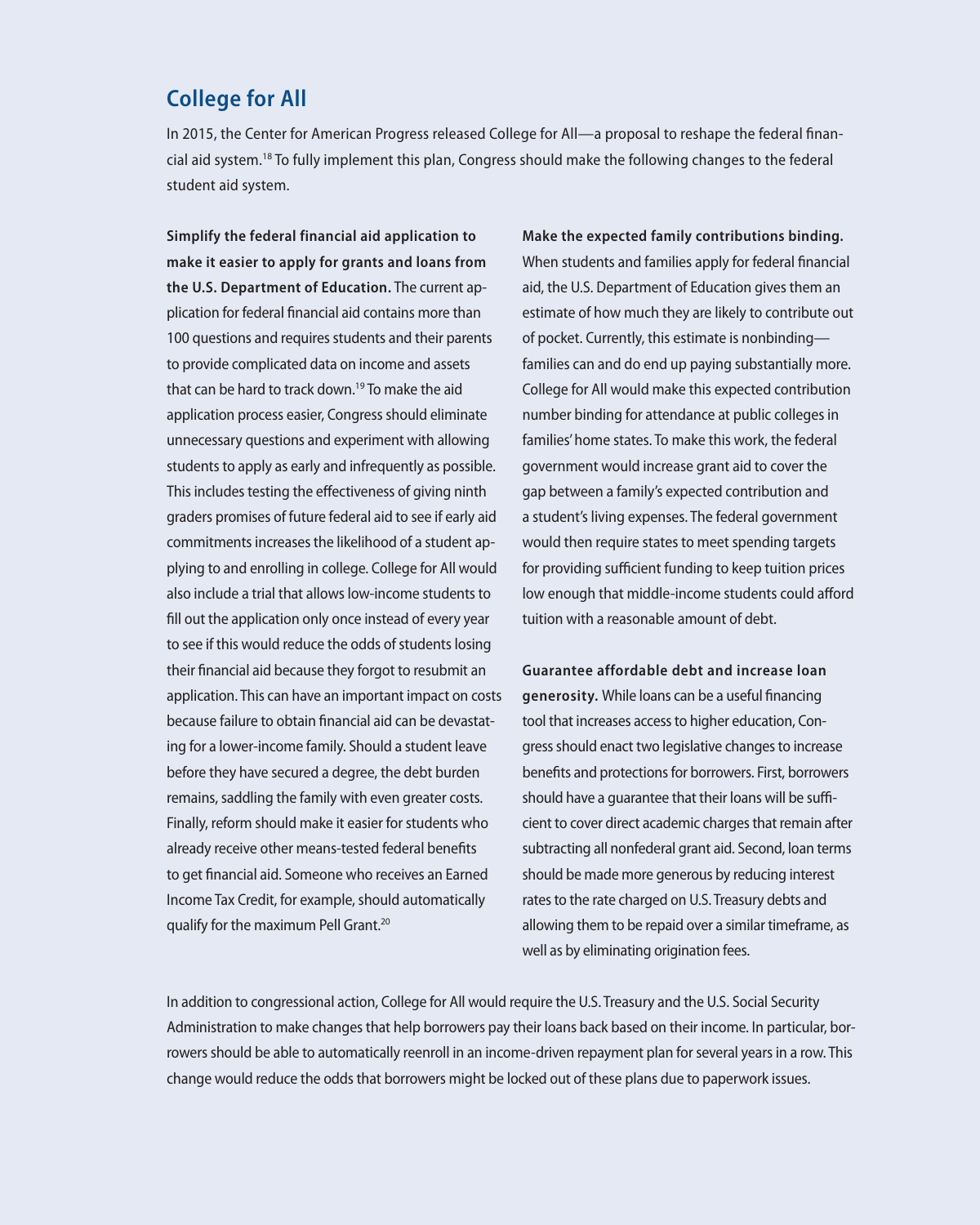### **College for All**

In 2015, the Center for American Progress released College for All—a proposal to reshape the federal financial aid system.<sup>18</sup> To fully implement this plan, Congress should make the following changes to the federal student aid system.

**Simplify the federal financial aid application to make it easier to apply for grants and loans from the U.S. Department of Education.** The current application for federal financial aid contains more than 100 questions and requires students and their parents to provide complicated data on income and assets that can be hard to track down.<sup>19</sup> To make the aid application process easier, Congress should eliminate unnecessary questions and experiment with allowing students to apply as early and infrequently as possible. This includes testing the effectiveness of giving ninth graders promises of future federal aid to see if early aid commitments increases the likelihood of a student applying to and enrolling in college. College for All would also include a trial that allows low-income students to fill out the application only once instead of every year to see if this would reduce the odds of students losing their financial aid because they forgot to resubmit an application. This can have an important impact on costs because failure to obtain financial aid can be devastating for a lower-income family. Should a student leave before they have secured a degree, the debt burden remains, saddling the family with even greater costs. Finally, reform should make it easier for students who already receive other means-tested federal benefits to get financial aid. Someone who receives an Earned Income Tax Credit, for example, should automatically qualify for the maximum Pell Grant.<sup>20</sup>

**Make the expected family contributions binding.** When students and families apply for federal financial aid, the U.S. Department of Education gives them an estimate of how much they are likely to contribute out of pocket. Currently, this estimate is nonbinding families can and do end up paying substantially more. College for All would make this expected contribution number binding for attendance at public colleges in families' home states. To make this work, the federal government would increase grant aid to cover the gap between a family's expected contribution and a student's living expenses. The federal government would then require states to meet spending targets for providing sufficient funding to keep tuition prices low enough that middle-income students could afford tuition with a reasonable amount of debt.

**Guarantee affordable debt and increase loan generosity.** While loans can be a useful financing tool that increases access to higher education, Congress should enact two legislative changes to increase benefits and protections for borrowers. First, borrowers should have a guarantee that their loans will be sufficient to cover direct academic charges that remain after subtracting all nonfederal grant aid. Second, loan terms should be made more generous by reducing interest rates to the rate charged on U.S. Treasury debts and allowing them to be repaid over a similar timeframe, as well as by eliminating origination fees.

In addition to congressional action, College for All would require the U.S. Treasury and the U.S. Social Security Administration to make changes that help borrowers pay their loans back based on their income. In particular, borrowers should be able to automatically reenroll in an income-driven repayment plan for several years in a row. This change would reduce the odds that borrowers might be locked out of these plans due to paperwork issues.